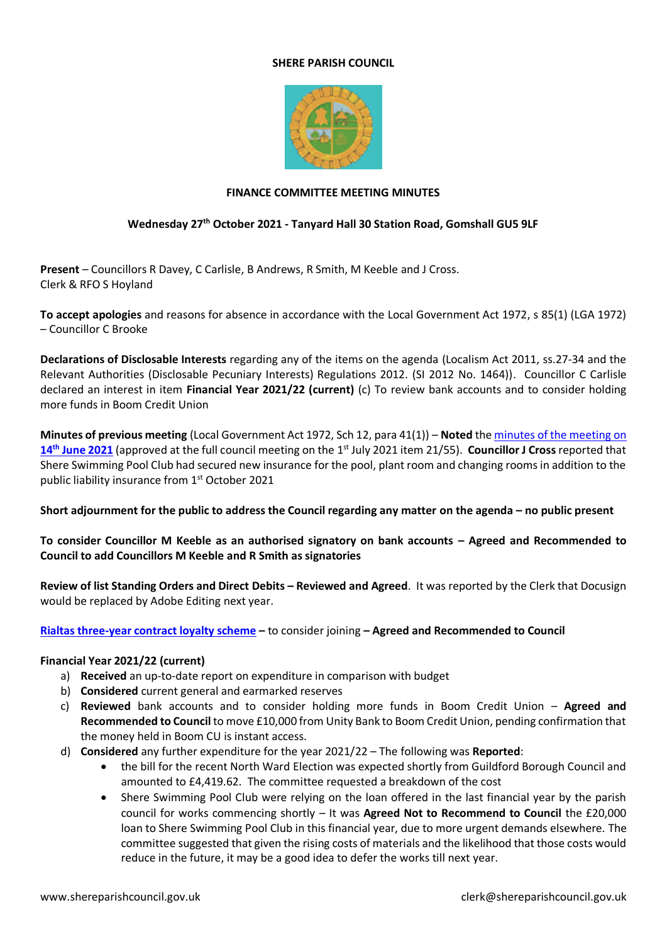## **SHERE PARISH COUNCIL**



## **FINANCE COMMITTEE MEETING MINUTES**

## **Wednesday 27th October 2021 - Tanyard Hall 30 Station Road, Gomshall GU5 9LF**

**Present** – Councillors R Davey, C Carlisle, B Andrews, R Smith, M Keeble and J Cross. Clerk & RFO S Hoyland

**To accept apologies** and reasons for absence in accordance with the Local Government Act 1972, s 85(1) (LGA 1972) – Councillor C Brooke

**Declarations of Disclosable Interests** regarding any of the items on the agenda (Localism Act 2011, ss.27-34 and the Relevant Authorities (Disclosable Pecuniary Interests) Regulations 2012. (SI 2012 No. 1464)). Councillor C Carlisle declared an interest in item **Financial Year 2021/22 (current)** (c) To review bank accounts and to consider holding more funds in Boom Credit Union

**Minutes of previous meeting** (Local Government Act 1972, Sch 12, para 41(1)) – **Noted** the minutes [of the meeting on](https://www.shereparishcouncil.gov.uk/wp-content/uploads/2021/06/Finance-Minutes-June-2021-1.pdf)  14<sup>th</sup> [June 2021](https://www.shereparishcouncil.gov.uk/wp-content/uploads/2021/06/Finance-Minutes-June-2021-1.pdf) (approved at the full council meeting on the 1<sup>st</sup> July 2021 item 21/55). Councillor J Cross reported that Shere Swimming Pool Club had secured new insurance for the pool, plant room and changing rooms in addition to the public liability insurance from 1<sup>st</sup> October 2021

**Short adjournment for the public to address the Council regarding any matter on the agenda – no public present** 

**To consider Councillor M Keeble as an authorised signatory on bank accounts – Agreed and Recommended to Council to add Councillors M Keeble and R Smith as signatories** 

**Review of list Standing Orders and Direct Debits – Reviewed and Agreed**. It was reported by the Clerk that Docusign would be replaced by Adobe Editing next year.

**[Rialtas three-year contract loyalty scheme](https://www.shereparishcouncil.gov.uk/wp-content/uploads/2021/10/Rialtas-3-Year-End-Loyalty-Scheme.pdf) –** to consider joining **– Agreed and Recommended to Council** 

## **Financial Year 2021/22 (current)**

- a) **Received** an up-to-date report on expenditure in comparison with budget
- b) **Considered** current general and earmarked reserves
- c) **Reviewed** bank accounts and to consider holding more funds in Boom Credit Union **Agreed and Recommended to Council** to move £10,000 from Unity Bank to Boom Credit Union, pending confirmation that the money held in Boom CU is instant access.
- d) **Considered** any further expenditure for the year 2021/22 The following was **Reported**:
	- the bill for the recent North Ward Election was expected shortly from Guildford Borough Council and amounted to £4,419.62. The committee requested a breakdown of the cost
	- Shere Swimming Pool Club were relying on the loan offered in the last financial year by the parish council for works commencing shortly – It was **Agreed Not to Recommend to Council** the £20,000 loan to Shere Swimming Pool Club in this financial year, due to more urgent demands elsewhere. The committee suggested that given the rising costs of materials and the likelihood that those costs would reduce in the future, it may be a good idea to defer the works till next year.